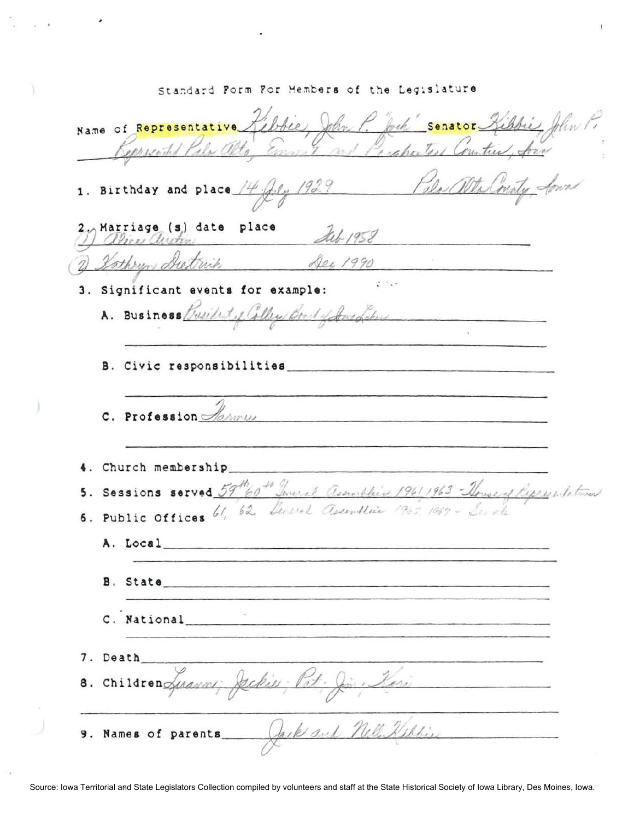Name of Representative Libbie, John P. Jock Senator Kibbie, John P. Pola alta Consta Sonas 1. Birthday and place  $\frac{14}{16}$ ,  $\frac{12}{7}$ 2) Marriage (s) date place Act 1958 Dec 1990 Kothrun Dietrich  $2 - 1$ 3. Significant events for example: A. Business Busilet of College Board of Jons Laborer B. Civic responsibilities C. Profession *Alamus* 4. Church membership 5. Sessions served 59th of Loveral assonables 1961-1963 - House of Representatives 6. Public Offices 61, 62 Devel assemblie 1965 1969. A. Local and the contract of the contract of the contract of the contract of the contract of the contract of the contract of the contract of the contract of the contract of the contract of the contract of the contract of t B. State C. National 7. Death Gine Kosi 8. Children Justin 9. Names of parents Jack and Nell Milling

Standard Form For Members of the Legislature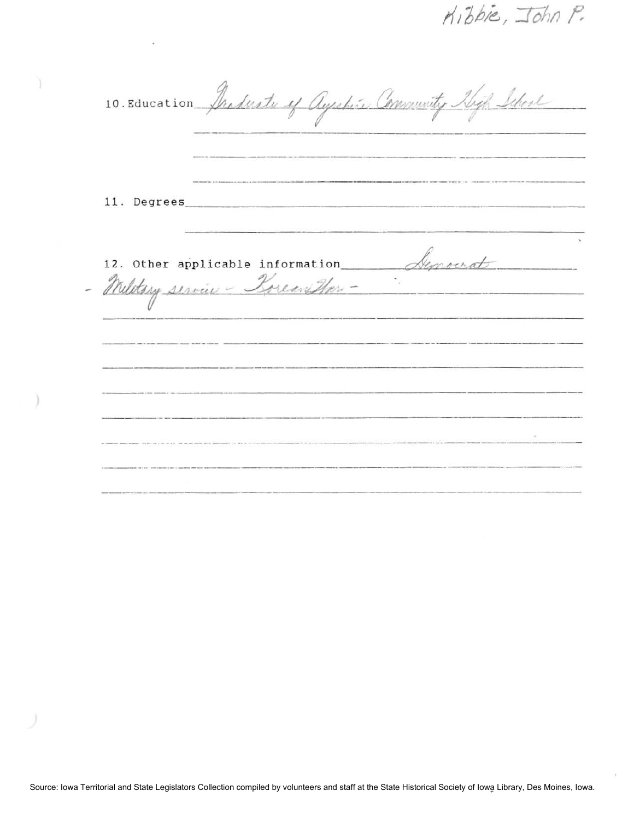Kibbie, John P.

10. Education Products of Ayeshine Community High Ishoul -\_ .. \_ --\_ .. \_------ ----\_.\_-------\_.- - - .. ---- **11.** Degrees \_\_\_\_\_\_\_\_\_\_\_\_\_\_\_\_\_ .\_.\_ . \_\_\_\_ \_ 12. Other applicable information Agnorat - Wilstory service - Porean Har ------------------ -\_. \_\_ .\_------------------------ .\_--- -\_.\_.\_------------------ -----\_.\_- ------------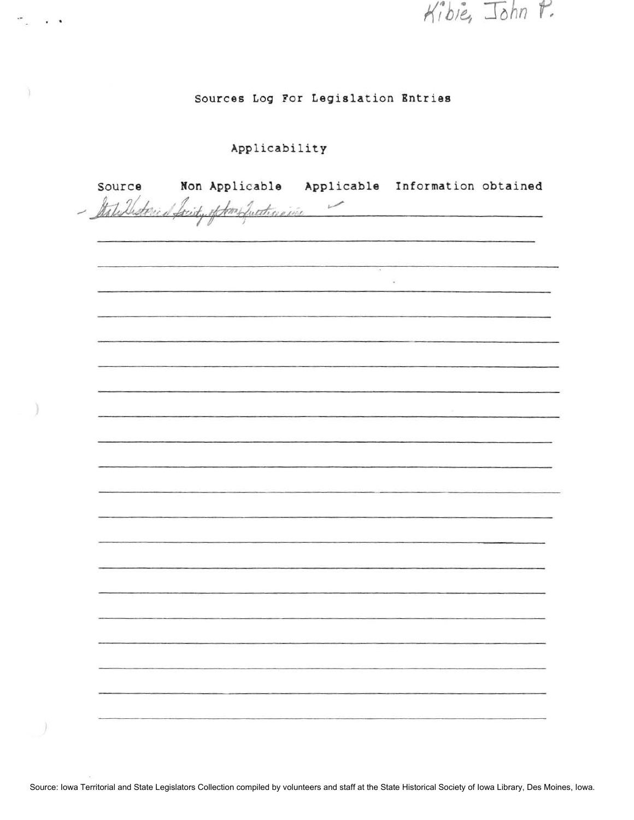Kibie, John P.

## **Sources Log For Legislation Bntries**

## Applicability

 $\mathcal{P}_1$  . . .

Ì.

١

| Source | Non Applicable Applicable Information obtained<br>- Italiellisterical facity of Som Suntingine |        |        |  |
|--------|------------------------------------------------------------------------------------------------|--------|--------|--|
|        |                                                                                                |        |        |  |
|        |                                                                                                |        |        |  |
|        |                                                                                                |        |        |  |
|        |                                                                                                | $\sim$ |        |  |
|        |                                                                                                |        | $\sim$ |  |
|        |                                                                                                |        |        |  |
|        |                                                                                                |        |        |  |
|        |                                                                                                |        |        |  |
|        |                                                                                                |        |        |  |
|        |                                                                                                |        |        |  |
|        |                                                                                                |        |        |  |
|        |                                                                                                |        |        |  |
|        |                                                                                                |        |        |  |
|        |                                                                                                |        |        |  |
|        |                                                                                                |        |        |  |
|        |                                                                                                |        |        |  |
|        |                                                                                                |        |        |  |
|        |                                                                                                |        |        |  |
|        |                                                                                                |        |        |  |
|        |                                                                                                |        |        |  |
|        |                                                                                                |        |        |  |
|        |                                                                                                |        |        |  |
|        |                                                                                                |        |        |  |
|        |                                                                                                |        |        |  |
|        |                                                                                                |        |        |  |
|        |                                                                                                |        |        |  |
|        |                                                                                                |        |        |  |
|        |                                                                                                |        |        |  |
|        |                                                                                                |        |        |  |
|        |                                                                                                |        |        |  |
|        |                                                                                                |        |        |  |

Source: Iowa Territorial and State Legislators Collection compiled by volunteers and staff at the State Historical Society of Iowa Library, Des Moines, Iowa.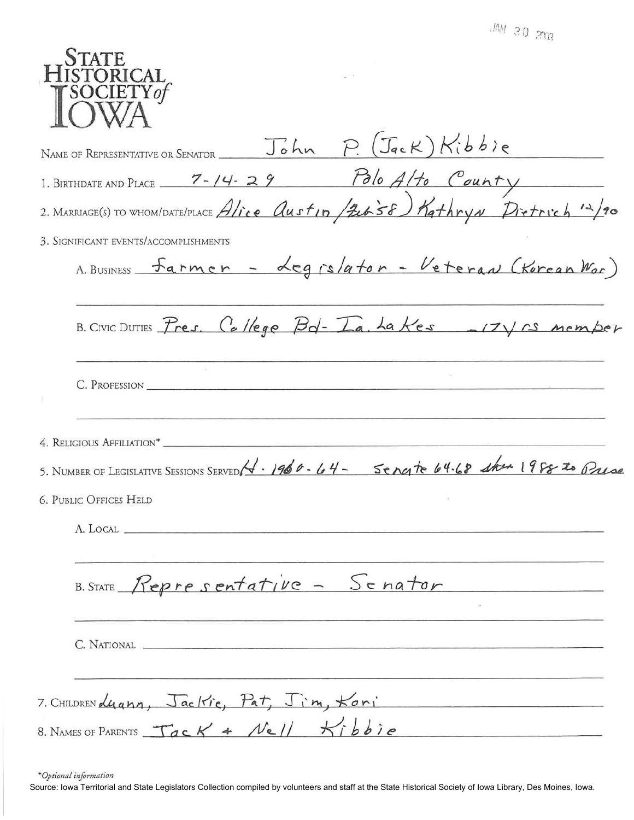$MN$  30  $20R$ 

| 4.1.111                                                                                                                                       |
|-----------------------------------------------------------------------------------------------------------------------------------------------|
| <b>STATE</b><br><b>ISTORICAL</b><br>SOCIETY of                                                                                                |
| John P. (Jack) Kibbie<br>NAME OF REPRESENTATIVE OR SENATOR                                                                                    |
|                                                                                                                                               |
| 1. BIRTHDATE AND PLACE $\frac{7-14-29}{20}$ Polo Alto County<br>2. MARRIAGE(S) TO WHOM/DATE/PLACE Alice Austin (Zubs6) KathryN Dietrich 12/90 |
| 3. SIGNIFICANT EVENTS/ACCOMPLISHMENTS                                                                                                         |
| A. BUSINESS Farmer - Legrslator - Veteran (Korean War)                                                                                        |
| B. CIVIC DUTIES Pres. College Bd-Ia. La Kes -17Vrs member                                                                                     |
| C. PROFESSION                                                                                                                                 |
| 4. RELIGIOUS AFFILIATION*                                                                                                                     |
| 5. NUMBER OF LEGISLATIVE SESSIONS SERVED 1960-64- Sengte 64.68 show 1988 to Prese                                                             |
| <b>6. PUBLIC OFFICES HELD</b>                                                                                                                 |
|                                                                                                                                               |
| B. STATE Representative - Senator                                                                                                             |
|                                                                                                                                               |
| 7. CHILDREN Luann, Jackie, Pat, Jim, Koni                                                                                                     |
| 8. NAMES OF PARENTS $Tack 4$ Nell Kibbie                                                                                                      |

\*Optional information

Source: Iowa Territorial and State Legislators Collection compiled by volunteers and staff at the State Historical Society of Iowa Library, Des Moines, Iowa.